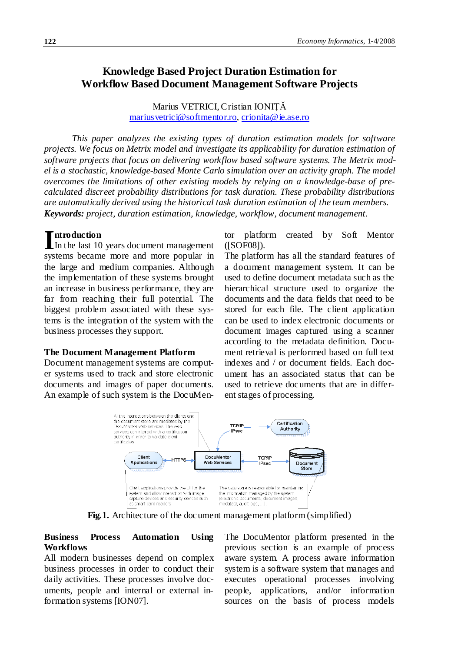# **Knowledge Based Project Duration Estimation for Workflow Based Document Management Software Projects**

Marius VETRICI, Cristian IONIŢĂ [mariusvetrici@softmentor.ro,](mailto:mariusvetrici@softmentor.ro) [crionita@ie.ase.ro](mailto:crionita@ie.ase.ro)

*This paper analyzes the existing types of duration estimation models for software projects. We focus on Metrix model and investigate its applicability for duration estimation of software projects that focus on delivering workflow based software systems. The Metrix model is a stochastic, knowledge-based Monte Carlo simulation over an activity graph. The model overcomes the limitations of other existing models by relying on a knowledge-base of precalculated discreet probability distributions for task duration. These probability distributions are automatically derived using the historical task duration estimation of the team members. Keywords: project, duration estimation, knowledge, workflow, document management.*

# **ntroduction**

In the last 10 years document management systems became more and more popular in the large and medium companies. Although the implementation of these systems brought an increase in business performance, they are far from reaching their full potential. The biggest problem associated with these systems is the integration of the system with the business processes they support.

#### **The Document Management Platform**

Document management systems are computer systems used to track and store electronic documents and images of paper documents. An example of such system is the DocuMentor platform created by Soft Mentor ([SOF08]).

The platform has all the standard features of a document management system. It can be used to define document metadata such as the hierarchical structure used to organize the documents and the data fields that need to be stored for each file. The client application can be used to index electronic documents or document images captured using a scanner according to the metadata definition. Document retrieval is performed based on full text indexes and / or document fields. Each document has an associated status that can be used to retrieve documents that are in different stages of processing.



**Fig.1.** Architecture of the document management platform (simplified)

### **Business Process Automation Using Workflows**

All modern businesses depend on complex business processes in order to conduct their daily activities. These processes involve documents, people and internal or external information systems [ION07].

The DocuMentor platform presented in the previous section is an example of process aware system. A process aware information system is a software system that manages and executes operational processes involving people, applications, and/or information sources on the basis of process models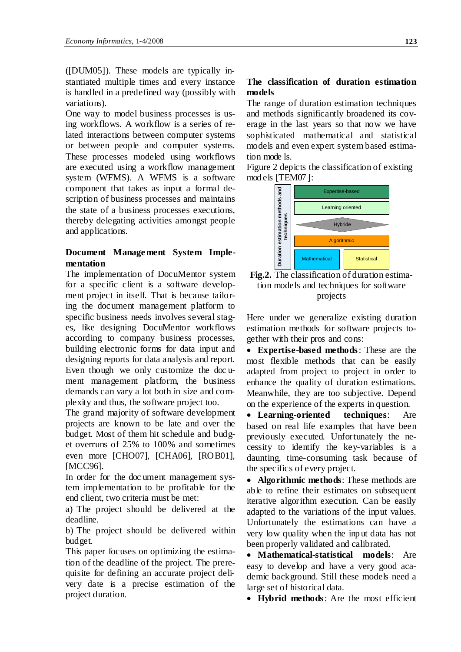([DUM05]). These models are typically instantiated multiple times and every instance is handled in a predefined way (possibly with variations).

One way to model business processes is using workflows. A workflow is a series of related interactions between computer systems or between people and computer systems. These processes modeled using workflows are executed using a workflow management system (WFMS). A WFMS is a software component that takes as input a formal description of business processes and maintains the state of a business processes executions, thereby delegating activities amongst people and applications.

# **Document Management System Implementation**

The implementation of DocuMentor system for a specific client is a software development project in itself. That is because tailoring the document management platform to specific business needs involves several stages, like designing DocuMentor workflows according to company business processes, building electronic forms for data input and designing reports for data analysis and report. Even though we only customize the doc ument management platform, the business demands can vary a lot both in size and complexity and thus, the software project too.

The grand majority of software development projects are known to be late and over the budget. Most of them hit schedule and budget overruns of 25% to 100% and sometimes even more [CHO07], [CHA06], [ROB01], [MCC96].

In order for the doc ument management system implementation to be profitable for the end client, two criteria must be met:

a) The project should be delivered at the deadline.

b) The project should be delivered within budget.

This paper focuses on optimizing the estimation of the deadline of the project. The prerequisite for defining an accurate project delivery date is a precise estimation of the project duration.

# **The classification of duration estimation models**

The range of duration estimation techniques and methods significantly broadened its coverage in the last years so that now we have sophisticated mathematical and statistical models and even expert system based estimation mode ls.

Figure 2 depicts the classification of existing mod els [TEM07 ]:



**Fig.2.** The classification of duration estimation models and techniques for software projects

Here under we generalize existing duration estimation methods for software projects together with their pros and cons:

• **Expertise-based methods**: These are the most flexible methods that can be easily adapted from project to project in order to enhance the quality of duration estimations. Meanwhile, they are too subjective. Depend on the experience of the experts in question.

• **Learning-oriented techniques**: Are based on real life examples that have been previously executed. Unfortunately the necessity to identify the key-variables is a daunting, time-consuming task because of the specifics of every project.

• **Algorithmic methods**: These methods are able to refine their estimates on subsequent iterative algorithm execution. Can be easily adapted to the variations of the input values. Unfortunately the estimations can have a very low quality when the input data has not been properly validated and calibrated.

• **Mathematical-statistical models**: Are easy to develop and have a very good academic background. Still these models need a large set of historical data.

• **Hybrid methods**: Are the most efficient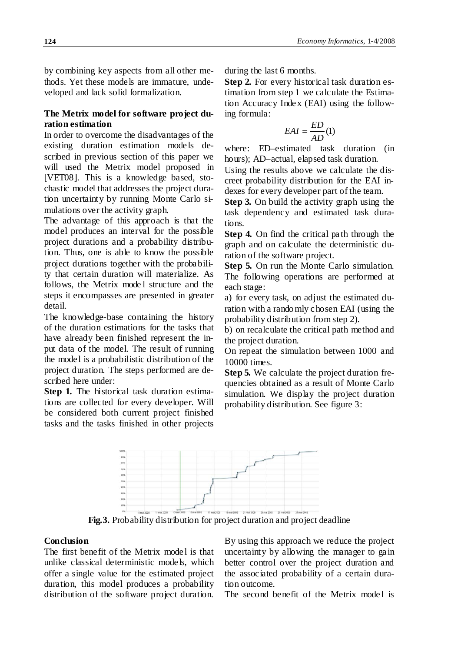by combining key aspects from all other methods. Yet these models are immature, undeveloped and lack solid formalization.

### **The Metrix model for software project duration estimation**

In order to overcome the disadvantages of the existing duration estimation models described in previous section of this paper we will used the Metrix model proposed in [VET08]. This is a knowledge based, stochastic model that addresses the project duration uncertainty by running Monte Carlo simulations over the activity graph.

The advantage of this approach is that the model produces an interval for the possible project durations and a probability distribution. Thus, one is able to know the possible project durations together with the probability that certain duration will materialize. As follows, the Metrix mode l structure and the steps it encompasses are presented in greater detail.

The knowledge-base containing the history of the duration estimations for the tasks that have already been finished represent the input data of the model. The result of running the model is a probabilistic distribution of the project duration. The steps performed are described here under:

**Step 1.** The historical task duration estimations are collected for every developer. Will be considered both current project finished tasks and the tasks finished in other projects

during the last 6 months.

**Step 2.** For every historical task duration estimation from step 1 we calculate the Estimation Accuracy Index (EAI) using the following formula:

$$
EAI = \frac{ED}{AD}(1)
$$

where: ED–estimated task duration (in hours); AD–actual, elapsed task duration.

Using the results above we calculate the discreet probability distribution for the EAI indexes for every developer part of the team.

**Step 3.** On build the activity graph using the task dependency and estimated task durations.

**Step 4.** On find the critical path through the graph and on calculate the deterministic duration of the software project.

**Step 5.** On run the Monte Carlo simulation. The following operations are performed at each stage:

a) for every task, on adjust the estimated duration with a randomly chosen EAI (using the probability distribution from step 2).

b) on recalculate the critical path method and the project duration.

On repeat the simulation between 1000 and 10000 times.

**Step 5.** We calculate the project duration frequencies obtained as a result of Monte Carlo simulation. We display the project duration probability distribution. See figure 3:



**Fig.3.** Probability distribution for project duration and project deadline

#### **Conclusion**

The first benefit of the Metrix model is that unlike classical deterministic models, which offer a single value for the estimated project duration, this model produces a probability distribution of the software project duration.

By using this approach we reduce the project uncertainty by allowing the manager to gain better control over the project duration and the associated probability of a certain duration outcome.

The second benefit of the Metrix model is